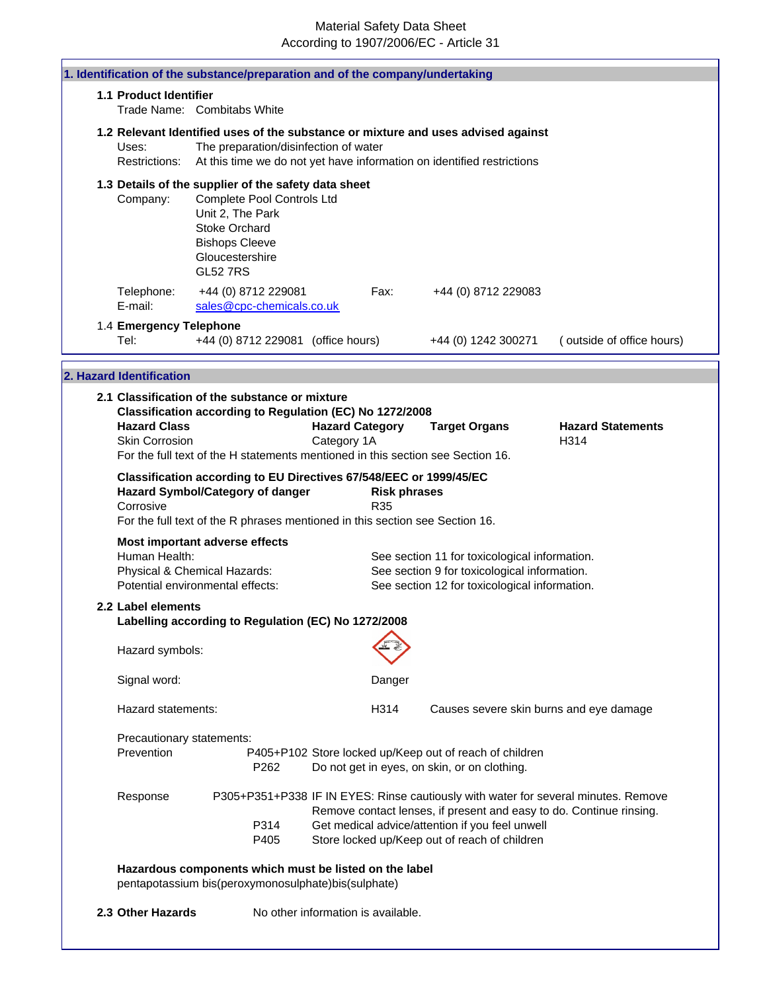|                                              | 1. Identification of the substance/preparation and of the company/undertaking                                                                                                                 |                                       |                                    |                                                                                                                                                                                                                                                               |                                  |
|----------------------------------------------|-----------------------------------------------------------------------------------------------------------------------------------------------------------------------------------------------|---------------------------------------|------------------------------------|---------------------------------------------------------------------------------------------------------------------------------------------------------------------------------------------------------------------------------------------------------------|----------------------------------|
| 1.1 Product Identifier                       | Trade Name: Combitabs White                                                                                                                                                                   |                                       |                                    |                                                                                                                                                                                                                                                               |                                  |
|                                              |                                                                                                                                                                                               |                                       |                                    | 1.2 Relevant Identified uses of the substance or mixture and uses advised against                                                                                                                                                                             |                                  |
| Uses:<br>Restrictions:                       | The preparation/disinfection of water                                                                                                                                                         |                                       |                                    | At this time we do not yet have information on identified restrictions                                                                                                                                                                                        |                                  |
| Company:                                     | 1.3 Details of the supplier of the safety data sheet<br>Complete Pool Controls Ltd<br>Unit 2, The Park<br><b>Stoke Orchard</b><br><b>Bishops Cleeve</b><br>Gloucestershire<br><b>GL52 7RS</b> |                                       |                                    |                                                                                                                                                                                                                                                               |                                  |
| Telephone:<br>E-mail:                        | +44 (0) 8712 229081<br>sales@cpc-chemicals.co.uk                                                                                                                                              |                                       | Fax:                               | +44 (0) 8712 229083                                                                                                                                                                                                                                           |                                  |
| 1.4 Emergency Telephone<br>Tel:              | +44 (0) 8712 229081 (office hours)                                                                                                                                                            |                                       |                                    | +44 (0) 1242 300271                                                                                                                                                                                                                                           | (outside of office hours)        |
| 2. Hazard Identification                     |                                                                                                                                                                                               |                                       |                                    |                                                                                                                                                                                                                                                               |                                  |
|                                              | 2.1 Classification of the substance or mixture                                                                                                                                                |                                       |                                    |                                                                                                                                                                                                                                                               |                                  |
| <b>Hazard Class</b><br><b>Skin Corrosion</b> | Classification according to Regulation (EC) No 1272/2008<br>For the full text of the H statements mentioned in this section see Section 16.                                                   | <b>Hazard Category</b><br>Category 1A |                                    | <b>Target Organs</b>                                                                                                                                                                                                                                          | <b>Hazard Statements</b><br>H314 |
|                                              | Classification according to EU Directives 67/548/EEC or 1999/45/EC<br>Hazard Symbol/Category of danger                                                                                        |                                       | <b>Risk phrases</b>                |                                                                                                                                                                                                                                                               |                                  |
| Corrosive                                    | For the full text of the R phrases mentioned in this section see Section 16.                                                                                                                  |                                       | R <sub>35</sub>                    |                                                                                                                                                                                                                                                               |                                  |
| Human Health:                                | Most important adverse effects<br>Physical & Chemical Hazards:<br>Potential environmental effects:                                                                                            |                                       |                                    | See section 11 for toxicological information.<br>See section 9 for toxicological information.<br>See section 12 for toxicological information.                                                                                                                |                                  |
| 2.2 Label elements                           | Labelling according to Regulation (EC) No 1272/2008                                                                                                                                           |                                       |                                    |                                                                                                                                                                                                                                                               |                                  |
| Hazard symbols:                              |                                                                                                                                                                                               |                                       |                                    |                                                                                                                                                                                                                                                               |                                  |
| Signal word:                                 |                                                                                                                                                                                               |                                       | Danger                             |                                                                                                                                                                                                                                                               |                                  |
| Hazard statements:                           |                                                                                                                                                                                               |                                       | H314                               | Causes severe skin burns and eye damage                                                                                                                                                                                                                       |                                  |
| Precautionary statements:<br>Prevention      | P262                                                                                                                                                                                          |                                       |                                    | P405+P102 Store locked up/Keep out of reach of children<br>Do not get in eyes, on skin, or on clothing.                                                                                                                                                       |                                  |
| Response                                     | P314<br>P405                                                                                                                                                                                  |                                       |                                    | P305+P351+P338 IF IN EYES: Rinse cautiously with water for several minutes. Remove<br>Remove contact lenses, if present and easy to do. Continue rinsing.<br>Get medical advice/attention if you feel unwell<br>Store locked up/Keep out of reach of children |                                  |
|                                              | Hazardous components which must be listed on the label<br>pentapotassium bis(peroxymonosulphate)bis(sulphate)                                                                                 |                                       |                                    |                                                                                                                                                                                                                                                               |                                  |
| 2.3 Other Hazards                            |                                                                                                                                                                                               |                                       | No other information is available. |                                                                                                                                                                                                                                                               |                                  |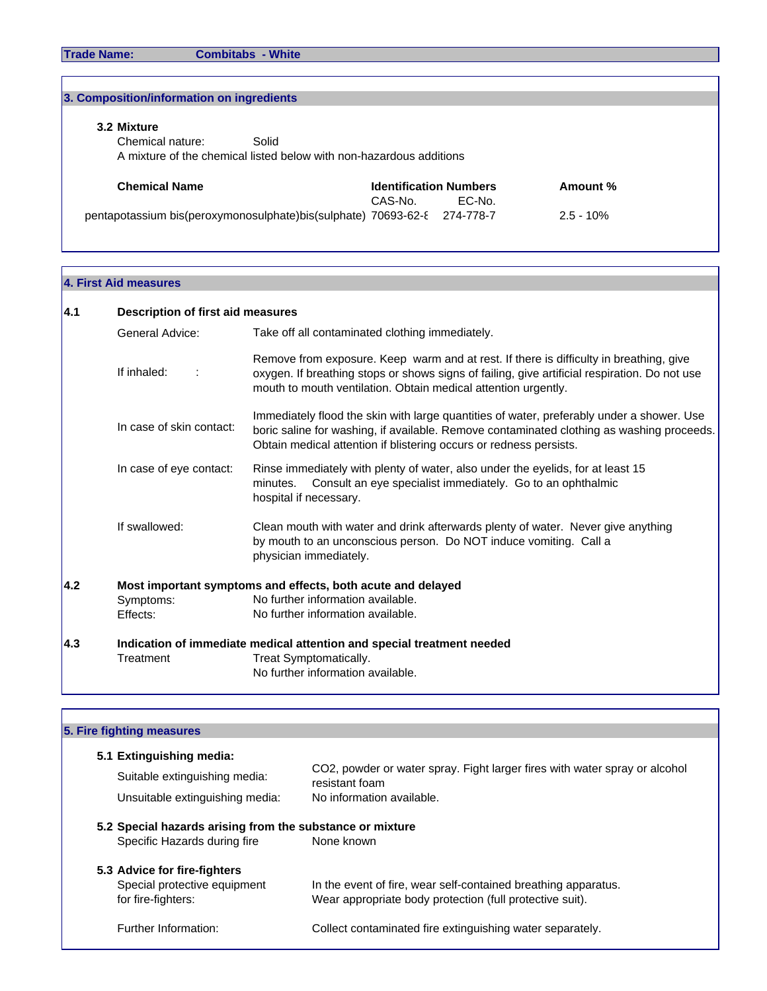# pentapotassium bis(peroxymonosulphate)bis(sulphate) 70693-62-8 274-778-7 2.5 - 10% **3. Composition/information on ingredients 3.2 Mixture** Chemical nature: Solid A mixture of the chemical listed below with non-hazardous additions **Chemical Name Identification Numbers Amount %**<br>CAS-No. **EC-No.** CAS-No.

#### **4. First Aid measures**

| 4.1 | Description of first aid measures |                                                                                                                                                                                                                                                              |  |
|-----|-----------------------------------|--------------------------------------------------------------------------------------------------------------------------------------------------------------------------------------------------------------------------------------------------------------|--|
|     | General Advice:                   | Take off all contaminated clothing immediately.                                                                                                                                                                                                              |  |
|     | If inhaled:<br>÷                  | Remove from exposure. Keep warm and at rest. If there is difficulty in breathing, give<br>oxygen. If breathing stops or shows signs of failing, give artificial respiration. Do not use<br>mouth to mouth ventilation. Obtain medical attention urgently.    |  |
|     | In case of skin contact:          | Immediately flood the skin with large quantities of water, preferably under a shower. Use<br>boric saline for washing, if available. Remove contaminated clothing as washing proceeds.<br>Obtain medical attention if blistering occurs or redness persists. |  |
|     | In case of eye contact:           | Rinse immediately with plenty of water, also under the eyelids, for at least 15<br>Consult an eye specialist immediately. Go to an ophthalmic<br>minutes.<br>hospital if necessary.                                                                          |  |
|     | If swallowed:                     | Clean mouth with water and drink afterwards plenty of water. Never give anything<br>by mouth to an unconscious person. Do NOT induce vomiting. Call a<br>physician immediately.                                                                              |  |
| 4.2 |                                   | Most important symptoms and effects, both acute and delayed                                                                                                                                                                                                  |  |
|     | Symptoms:                         | No further information available.                                                                                                                                                                                                                            |  |
|     | Effects:                          | No further information available.                                                                                                                                                                                                                            |  |
| 4.3 |                                   | Indication of immediate medical attention and special treatment needed                                                                                                                                                                                       |  |
|     | Treatment                         | Treat Symptomatically.                                                                                                                                                                                                                                       |  |
|     |                                   | No further information available.                                                                                                                                                                                                                            |  |

| 5. Fire fighting measures                                                                 |                                                                                              |
|-------------------------------------------------------------------------------------------|----------------------------------------------------------------------------------------------|
| 5.1 Extinguishing media:                                                                  |                                                                                              |
| Suitable extinguishing media:                                                             | CO2, powder or water spray. Fight larger fires with water spray or alcohol<br>resistant foam |
| Unsuitable extinguishing media:                                                           | No information available.                                                                    |
| 5.2 Special hazards arising from the substance or mixture<br>Specific Hazards during fire | None known                                                                                   |
| 5.3 Advice for fire-fighters                                                              |                                                                                              |
| Special protective equipment                                                              | In the event of fire, wear self-contained breathing apparatus.                               |
| for fire-fighters:                                                                        | Wear appropriate body protection (full protective suit).                                     |
|                                                                                           |                                                                                              |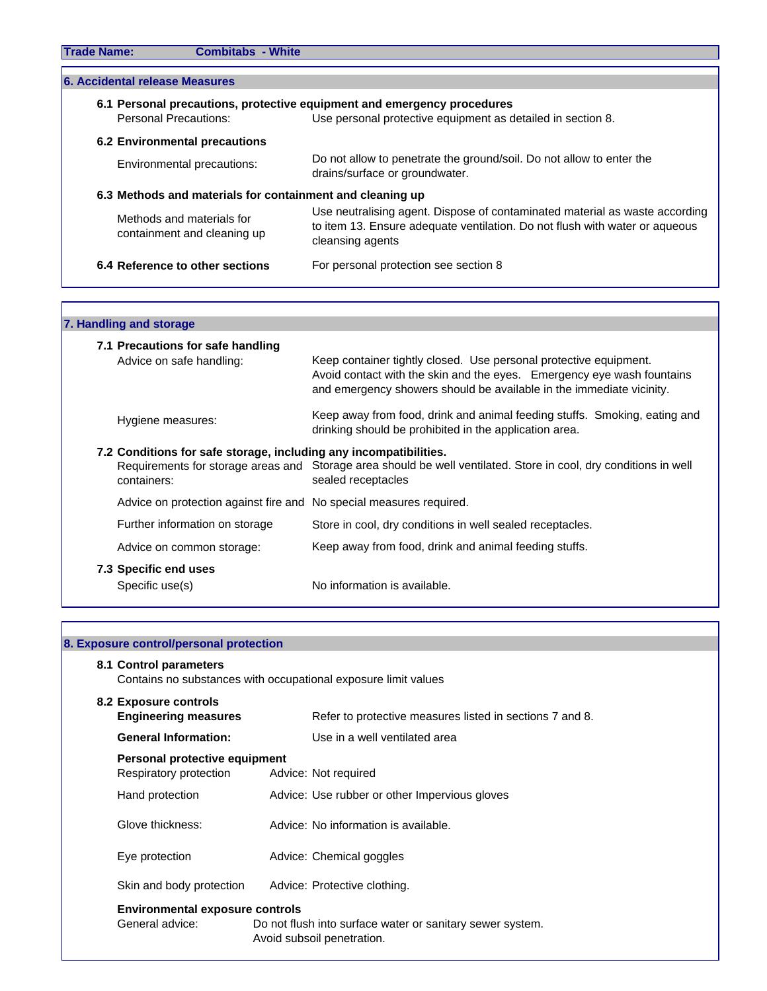| <b>Trade Name:</b><br><b>Combitabs - White</b>                                              |                                                                                                                                                                                                                |
|---------------------------------------------------------------------------------------------|----------------------------------------------------------------------------------------------------------------------------------------------------------------------------------------------------------------|
| 6. Accidental release Measures                                                              |                                                                                                                                                                                                                |
| <b>Personal Precautions:</b><br>6.2 Environmental precautions<br>Environmental precautions: | 6.1 Personal precautions, protective equipment and emergency procedures<br>Use personal protective equipment as detailed in section 8.<br>Do not allow to penetrate the ground/soil. Do not allow to enter the |
| 6.3 Methods and materials for containment and cleaning up                                   | drains/surface or groundwater.                                                                                                                                                                                 |
|                                                                                             |                                                                                                                                                                                                                |
| Methods and materials for<br>containment and cleaning up                                    | Use neutralising agent. Dispose of contaminated material as waste according<br>to item 13. Ensure adequate ventilation. Do not flush with water or aqueous<br>cleansing agents                                 |
| 6.4 Reference to other sections                                                             | For personal protection see section 8                                                                                                                                                                          |

### **7. Handling and storage 7.1 Precautions for safe handling** Advice on safe handling: Keep container tightly closed. Use personal protective equipment. Avoid contact with the skin and the eyes. Emergency eye wash fountains and emergency showers should be available in the immediate vicinity. Hygiene measures: Keep away from food, drink and animal feeding stuffs. Smoking, eating and drinking should be prohibited in the application area. **7.2 Conditions for safe storage, including any incompatibilities.** Requirements for storage areas and Storage area should be well ventilated. Store in cool, dry conditions in well containers: sealed receptacles Advice on protection against fire and No special measures required. Further information on storage Store in cool, dry conditions in well sealed receptacles. Advice on common storage: Keep away from food, drink and animal feeding stuffs. **7.3 Specific end uses** Specific use(s) No information is available.

| 8. Exposure control/personal protection                   |                                                                                         |
|-----------------------------------------------------------|-----------------------------------------------------------------------------------------|
| 8.1 Control parameters                                    | Contains no substances with occupational exposure limit values                          |
| 8.2 Exposure controls<br><b>Engineering measures</b>      | Refer to protective measures listed in sections 7 and 8.                                |
| <b>General Information:</b>                               | Use in a well ventilated area                                                           |
| Personal protective equipment<br>Respiratory protection   | Advice: Not required                                                                    |
| Hand protection                                           | Advice: Use rubber or other Impervious gloves                                           |
| Glove thickness:                                          | Advice: No information is available.                                                    |
| Eye protection                                            | Advice: Chemical goggles                                                                |
| Skin and body protection                                  | Advice: Protective clothing.                                                            |
| <b>Environmental exposure controls</b><br>General advice: | Do not flush into surface water or sanitary sewer system.<br>Avoid subsoil penetration. |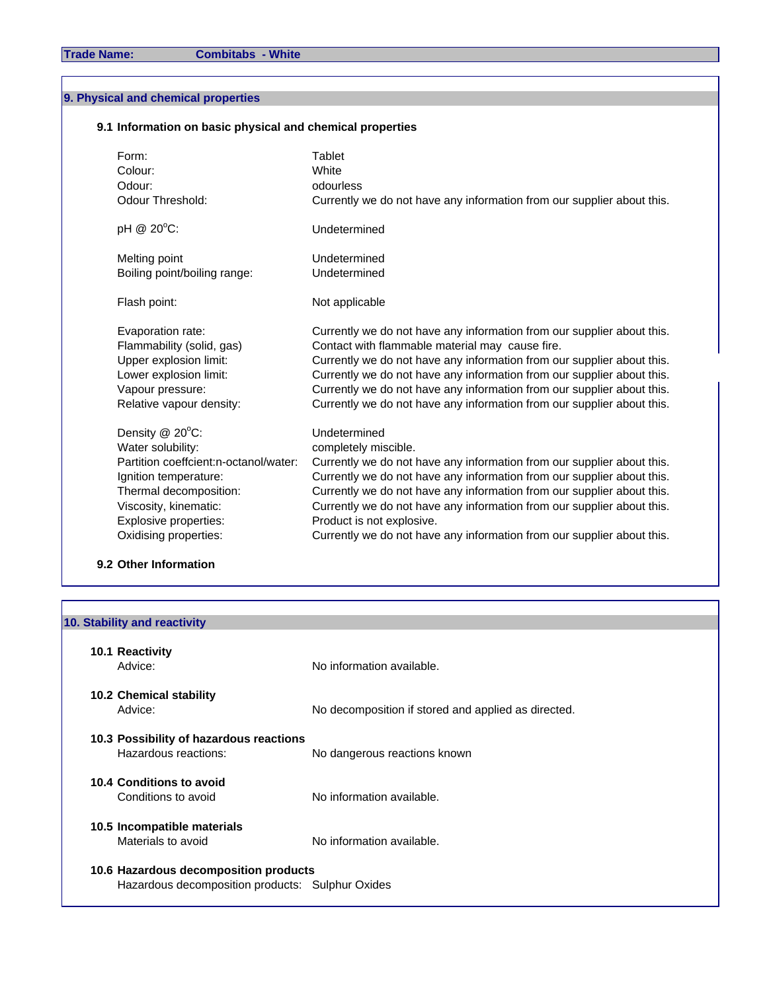### **9. Physical and chemical properties**

#### **9.1 Information on basic physical and chemical properties**

| Form:                                 | Tablet                                                                 |
|---------------------------------------|------------------------------------------------------------------------|
| Colour:                               | White                                                                  |
| Odour:                                | odourless                                                              |
| Odour Threshold:                      | Currently we do not have any information from our supplier about this. |
| pH @ 20°C:                            | Undetermined                                                           |
| Melting point                         | Undetermined                                                           |
| Boiling point/boiling range:          | Undetermined                                                           |
| Flash point:                          | Not applicable                                                         |
| Evaporation rate:                     | Currently we do not have any information from our supplier about this. |
| Flammability (solid, gas)             | Contact with flammable material may cause fire.                        |
| Upper explosion limit:                | Currently we do not have any information from our supplier about this. |
| Lower explosion limit:                | Currently we do not have any information from our supplier about this. |
| Vapour pressure:                      | Currently we do not have any information from our supplier about this. |
| Relative vapour density:              | Currently we do not have any information from our supplier about this. |
| Density @ 20°C:                       | Undetermined                                                           |
| Water solubility:                     | completely miscible.                                                   |
| Partition coeffcient:n-octanol/water: | Currently we do not have any information from our supplier about this. |
| Ignition temperature:                 | Currently we do not have any information from our supplier about this. |
| Thermal decomposition:                | Currently we do not have any information from our supplier about this. |
| Viscosity, kinematic:                 | Currently we do not have any information from our supplier about this. |
| Explosive properties:                 | Product is not explosive.                                              |
| Oxidising properties:                 | Currently we do not have any information from our supplier about this. |

#### **9.2 Other Information**

| 10. Stability and reactivity                                                              |                                                     |
|-------------------------------------------------------------------------------------------|-----------------------------------------------------|
| 10.1 Reactivity<br>Advice:                                                                | No information available.                           |
| <b>10.2 Chemical stability</b><br>Advice:                                                 | No decomposition if stored and applied as directed. |
| 10.3 Possibility of hazardous reactions<br>Hazardous reactions:                           | No dangerous reactions known                        |
| 10.4 Conditions to avoid<br>Conditions to avoid                                           | No information available.                           |
| 10.5 Incompatible materials<br>Materials to avoid                                         | No information available.                           |
| 10.6 Hazardous decomposition products<br>Hazardous decomposition products: Sulphur Oxides |                                                     |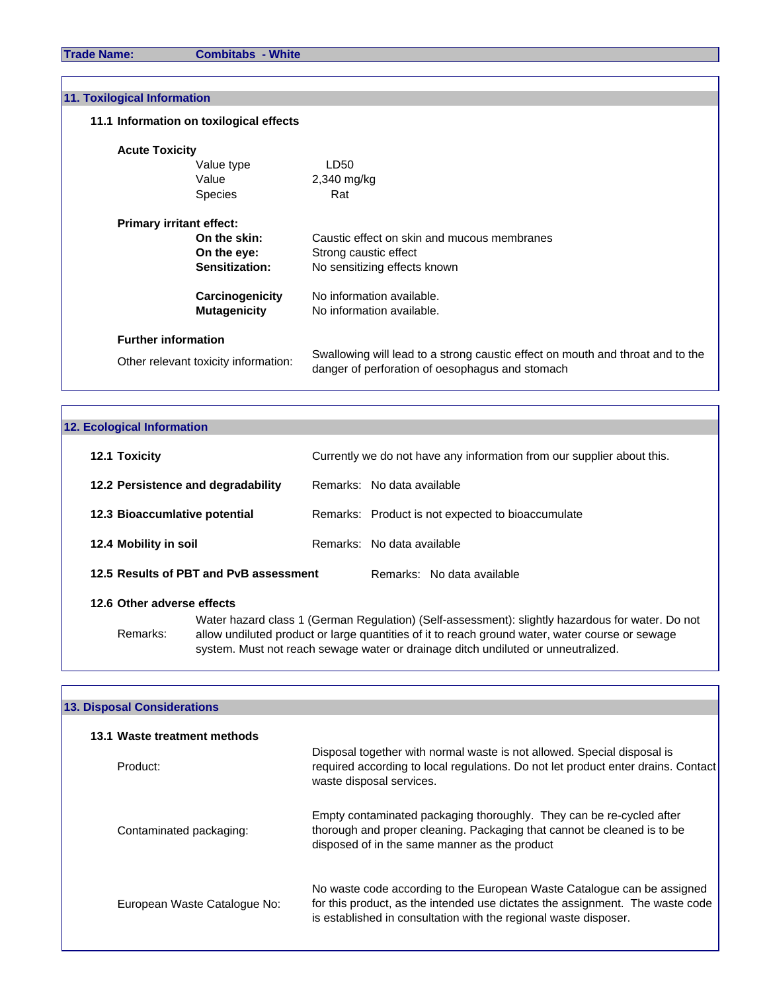| 11. Toxilogical Information             |                                                                                                                                   |
|-----------------------------------------|-----------------------------------------------------------------------------------------------------------------------------------|
| 11.1 Information on toxilogical effects |                                                                                                                                   |
| <b>Acute Toxicity</b>                   |                                                                                                                                   |
| Value type                              | LD50                                                                                                                              |
| Value                                   | $2,340$ mg/kg                                                                                                                     |
| <b>Species</b>                          | Rat                                                                                                                               |
| <b>Primary irritant effect:</b>         |                                                                                                                                   |
| On the skin:                            | Caustic effect on skin and mucous membranes                                                                                       |
| On the eye:                             | Strong caustic effect                                                                                                             |
| Sensitization:                          | No sensitizing effects known                                                                                                      |
| Carcinogenicity                         | No information available.                                                                                                         |
| <b>Mutagenicity</b>                     | No information available.                                                                                                         |
| <b>Further information</b>              |                                                                                                                                   |
| Other relevant toxicity information:    | Swallowing will lead to a strong caustic effect on mouth and throat and to the<br>danger of perforation of oesophagus and stomach |

## **12.1 Toxicity 12.1 Toxicity 12.1 Toxicity Currently we do not have any information from our supplier about this. 12. Ecological Information**

| 12.2 Persistence and degradability     |  | Remarks: No data available                        |
|----------------------------------------|--|---------------------------------------------------|
| 12.3 Bioaccumlative potential          |  | Remarks: Product is not expected to bioaccumulate |
| 12.4 Mobility in soil                  |  | Remarks: No data available                        |
| 12.5 Results of PBT and PvB assessment |  | Remarks: No data available                        |

#### **12.6 Other adverse effects**

Remarks: allow undiluted product or large quantities of it to reach ground water, water course or sewage system. Must not reach sewage water or drainage ditch undiluted or unneutralized. Water hazard class 1 (German Regulation) (Self-assessment): slightly hazardous for water. Do not

#### **13. Disposal Considerations**

| 13.1 Waste treatment methods |                                                                                                                                                                                                                              |
|------------------------------|------------------------------------------------------------------------------------------------------------------------------------------------------------------------------------------------------------------------------|
| Product:                     | Disposal together with normal waste is not allowed. Special disposal is<br>required according to local regulations. Do not let product enter drains. Contact<br>waste disposal services.                                     |
| Contaminated packaging:      | Empty contaminated packaging thoroughly. They can be re-cycled after<br>thorough and proper cleaning. Packaging that cannot be cleaned is to be<br>disposed of in the same manner as the product                             |
| European Waste Catalogue No: | No waste code according to the European Waste Catalogue can be assigned<br>for this product, as the intended use dictates the assignment. The waste code<br>is established in consultation with the regional waste disposer. |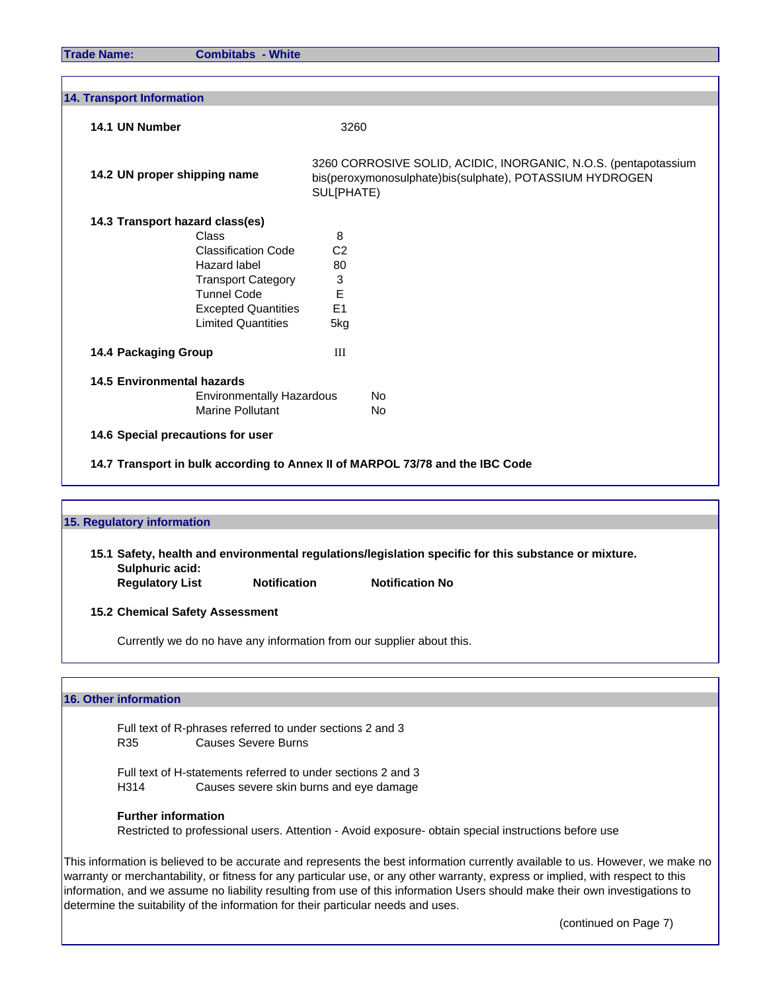| <b>14. Transport Information</b>  |                                              |                                                                                                                                           |
|-----------------------------------|----------------------------------------------|-------------------------------------------------------------------------------------------------------------------------------------------|
| 14.1 UN Number                    |                                              | 3260                                                                                                                                      |
| 14.2 UN proper shipping name      |                                              | 3260 CORROSIVE SOLID, ACIDIC, INORGANIC, N.O.S. (pentapotassium<br>bis(peroxymonosulphate)bis(sulphate), POTASSIUM HYDROGEN<br>SUL[PHATE) |
| 14.3 Transport hazard class(es)   |                                              |                                                                                                                                           |
| Class                             | 8                                            |                                                                                                                                           |
|                                   | <b>Classification Code</b><br>C <sub>2</sub> |                                                                                                                                           |
|                                   | Hazard label<br>80                           |                                                                                                                                           |
|                                   | 3<br><b>Transport Category</b>               |                                                                                                                                           |
|                                   | <b>Tunnel Code</b><br>Е                      |                                                                                                                                           |
|                                   | E1<br><b>Excepted Quantities</b>             |                                                                                                                                           |
|                                   | <b>Limited Quantities</b><br>5kg             |                                                                                                                                           |
| 14.4 Packaging Group              | Ш                                            |                                                                                                                                           |
| <b>14.5 Environmental hazards</b> |                                              |                                                                                                                                           |
|                                   | <b>Environmentally Hazardous</b>             | No.                                                                                                                                       |
|                                   | <b>Marine Pollutant</b>                      | No.                                                                                                                                       |
| 14.6 Special precautions for user |                                              |                                                                                                                                           |

## **15. Regulatory information 15.1 Safety, health and environmental regulations/legislation specific for this substance or mixture. Sulphuric acid: Regulatory List Motification Notification No 15.2 Chemical Safety Assessment** Currently we do no have any information from our supplier about this.

#### **16. Other information**

Full text of R-phrases referred to under sections 2 and 3 R35 Causes Severe Burns

Full text of H-statements referred to under sections 2 and 3 H314 Causes severe skin burns and eye damage

#### **Further information**

Restricted to professional users. Attention - Avoid exposure- obtain special instructions before use

This information is believed to be accurate and represents the best information currently available to us. However, we make no warranty or merchantability, or fitness for any particular use, or any other warranty, express or implied, with respect to this information, and we assume no liability resulting from use of this information Users should make their own investigations to determine the suitability of the information for their particular needs and uses.

(continued on Page 7)